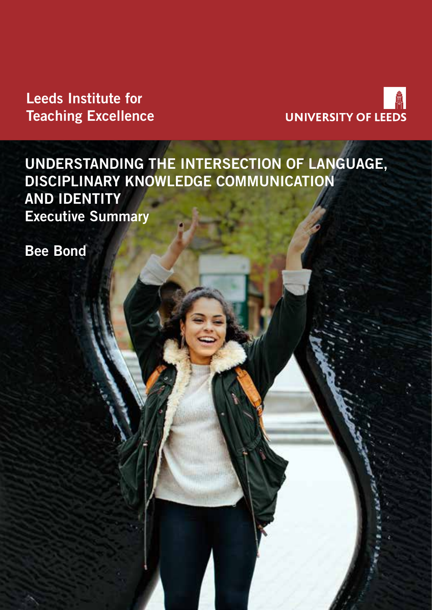Leeds Institute for Teaching Excellence



UNDERSTANDING THE INTERSECTION OF LANGUAGE, DISCIPLINARY KNOWLEDGE COMMUNICATION AND IDENTITY Executive Summary

Bee Bond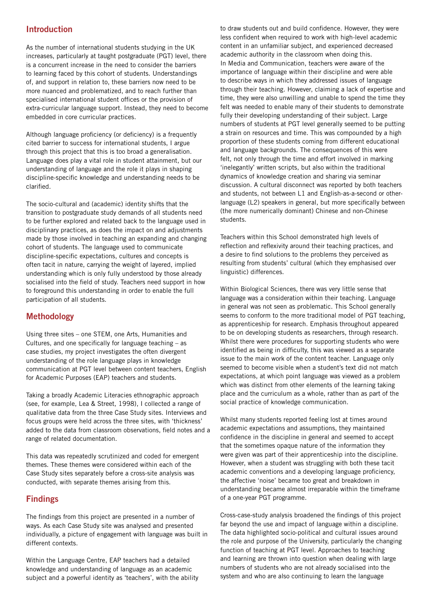# Introduction

As the number of international students studying in the UK increases, particularly at taught postgraduate (PGT) level, there is a concurrent increase in the need to consider the barriers to learning faced by this cohort of students. Understandings of, and support in relation to, these barriers now need to be more nuanced and problematized, and to reach further than specialised international student offices or the provision of extra-curricular language support. Instead, they need to become embedded in core curricular practices.

Although language proficiency (or deficiency) is a frequently cited barrier to success for international students, I argue through this project that this is too broad a generalisation. Language does play a vital role in student attainment, but our understanding of language and the role it plays in shaping discipline-specific knowledge and understanding needs to be clarified.

The socio-cultural and (academic) identity shifts that the transition to postgraduate study demands of all students need to be further explored and related back to the language used in disciplinary practices, as does the impact on and adjustments made by those involved in teaching an expanding and changing cohort of students. The language used to communicate discipline-specific expectations, cultures and concepts is often tacit in nature, carrying the weight of layered, implied understanding which is only fully understood by those already socialised into the field of study. Teachers need support in how to foreground this understanding in order to enable the full participation of all students.

# Methodology

Using three sites – one STEM, one Arts, Humanities and Cultures, and one specifically for language teaching – as case studies, my project investigates the often divergent understanding of the role language plays in knowledge communication at PGT level between content teachers, English for Academic Purposes (EAP) teachers and students.

Taking a broadly Academic Literacies ethnographic approach (see, for example, Lea & Street, 1998), I collected a range of qualitative data from the three Case Study sites. Interviews and focus groups were held across the three sites, with 'thickness' added to the data from classroom observations, field notes and a range of related documentation.

This data was repeatedly scrutinized and coded for emergent themes. These themes were considered within each of the Case Study sites separately before a cross-site analysis was conducted, with separate themes arising from this.

## Findings

The findings from this project are presented in a number of ways. As each Case Study site was analysed and presented individually, a picture of engagement with language was built in different contexts.

Within the Language Centre, EAP teachers had a detailed knowledge and understanding of language as an academic subject and a powerful identity as 'teachers', with the ability to draw students out and build confidence. However, they were less confident when required to work with high-level academic content in an unfamiliar subject, and experienced decreased academic authority in the classroom when doing this. In Media and Communication, teachers were aware of the importance of language within their discipline and were able to describe ways in which they addressed issues of language through their teaching. However, claiming a lack of expertise and time, they were also unwilling and unable to spend the time they felt was needed to enable many of their students to demonstrate fully their developing understanding of their subject. Large numbers of students at PGT level generally seemed to be putting a strain on resources and time. This was compounded by a high proportion of these students coming from different educational and language backgrounds. The consequences of this were felt, not only through the time and effort involved in marking 'inelegantly' written scripts, but also within the traditional dynamics of knowledge creation and sharing via seminar discussion. A cultural disconnect was reported by both teachers and students, not between L1 and English-as-a-second or otherlanguage (L2) speakers in general, but more specifically between (the more numerically dominant) Chinese and non-Chinese students.

Teachers within this School demonstrated high levels of reflection and reflexivity around their teaching practices, and a desire to find solutions to the problems they perceived as resulting from students' cultural (which they emphasised over linguistic) differences.

Within Biological Sciences, there was very little sense that language was a consideration within their teaching. Language in general was not seen as problematic. This School generally seems to conform to the more traditional model of PGT teaching, as apprenticeship for research. Emphasis throughout appeared to be on developing students as researchers, through research. Whilst there were procedures for supporting students who were identified as being in difficulty, this was viewed as a separate issue to the main work of the content teacher. Language only seemed to become visible when a student's text did not match expectations, at which point language was viewed as a problem which was distinct from other elements of the learning taking place and the curriculum as a whole, rather than as part of the social practice of knowledge communication.

Whilst many students reported feeling lost at times around academic expectations and assumptions, they maintained confidence in the discipline in general and seemed to accept that the sometimes opaque nature of the information they were given was part of their apprenticeship into the discipline. However, when a student was struggling with both these tacit academic conventions and a developing language proficiency, the affective 'noise' became too great and breakdown in understanding became almost irreparable within the timeframe of a one-year PGT programme.

Cross-case-study analysis broadened the findings of this project far beyond the use and impact of language within a discipline. The data highlighted socio-political and cultural issues around the role and purpose of the University, particularly the changing function of teaching at PGT level. Approaches to teaching and learning are thrown into question when dealing with large numbers of students who are not already socialised into the system and who are also continuing to learn the language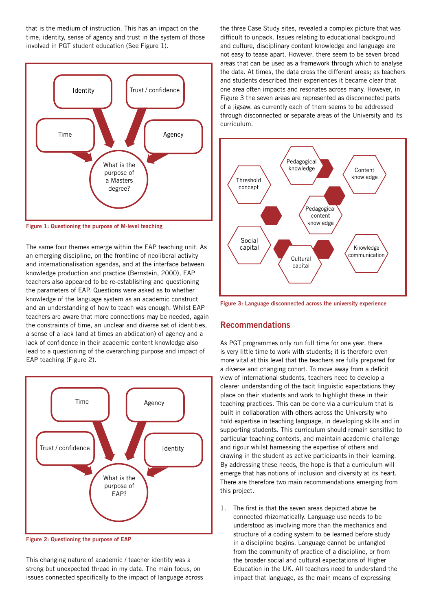that is the medium of instruction. This has an impact on the time, identity, sense of agency and trust in the system of those involved in PGT student education (See Figure 1).



Figure 1: Questioning the purpose of M-level teaching

The same four themes emerge within the EAP teaching unit. As an emerging discipline, on the frontline of neoliberal activity and internationalisation agendas, and at the interface between knowledge production and practice (Bernstein, 2000), EAP teachers also appeared to be re-establishing and questioning the parameters of EAP. Questions were asked as to whether knowledge of the language system as an academic construct and an understanding of how to teach was enough. Whilst EAP teachers are aware that more connections may be needed, again the constraints of time, an unclear and diverse set of identities, a sense of a lack (and at times an abdication) of agency and a lack of confidence in their academic content knowledge also lead to a questioning of the overarching purpose and impact of EAP teaching (Figure 2).



Figure 2: Questioning the purpose of EAP

This changing nature of academic / teacher identity was a strong but unexpected thread in my data. The main focus, on issues connected specifically to the impact of language across the three Case Study sites, revealed a complex picture that was difficult to unpack. Issues relating to educational background and culture, disciplinary content knowledge and language are not easy to tease apart. However, there seem to be seven broad areas that can be used as a framework through which to analyse the data. At times, the data cross the different areas; as teachers and students described their experiences it became clear that one area often impacts and resonates across many. However, in Figure 3 the seven areas are represented as disconnected parts of a jigsaw, as currently each of them seems to be addressed through disconnected or separate areas of the University and its curriculum.



Figure 3: Language disconnected across the university experience

#### Recommendations

As PGT programmes only run full time for one year, there is very little time to work with students; it is therefore even more vital at this level that the teachers are fully prepared for a diverse and changing cohort. To move away from a deficit view of international students, teachers need to develop a clearer understanding of the tacit linguistic expectations they place on their students and work to highlight these in their teaching practices. This can be done via a curriculum that is built in collaboration with others across the University who hold expertise in teaching language, in developing skills and in supporting students. This curriculum should remain sensitive to particular teaching contexts, and maintain academic challenge and rigour whilst harnessing the expertise of others and drawing in the student as active participants in their learning. By addressing these needs, the hope is that a curriculum will emerge that has notions of inclusion and diversity at its heart. There are therefore two main recommendations emerging from this project.

1. The first is that the seven areas depicted above be connected rhizomatically. Language use needs to be understood as involving more than the mechanics and structure of a coding system to be learned before study in a discipline begins. Language cannot be untangled from the community of practice of a discipline, or from the broader social and cultural expectations of Higher Education in the UK. All teachers need to understand the impact that language, as the main means of expressing